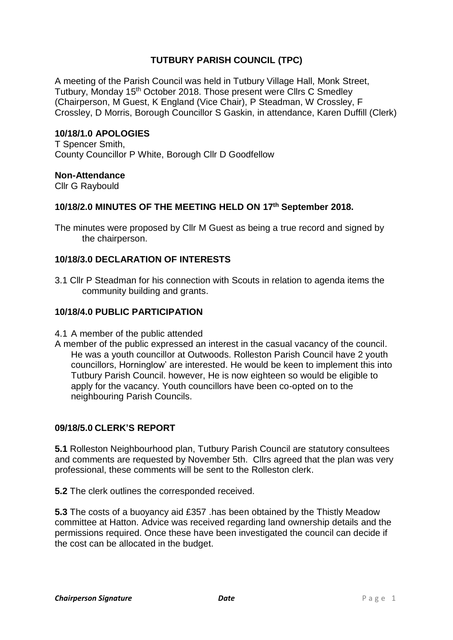# **TUTBURY PARISH COUNCIL (TPC)**

A meeting of the Parish Council was held in Tutbury Village Hall, Monk Street, Tutbury, Monday 15<sup>th</sup> October 2018. Those present were Cllrs C Smedley (Chairperson, M Guest, K England (Vice Chair), P Steadman, W Crossley, F Crossley, D Morris, Borough Councillor S Gaskin, in attendance, Karen Duffill (Clerk)

#### **10/18/1.0 APOLOGIES**

T Spencer Smith, County Councillor P White, Borough Cllr D Goodfellow

#### **Non-Attendance**

Cllr G Raybould

# **10/18/2.0 MINUTES OF THE MEETING HELD ON 17th September 2018.**

The minutes were proposed by Cllr M Guest as being a true record and signed by the chairperson.

### **10/18/3.0 DECLARATION OF INTERESTS**

3.1 Cllr P Steadman for his connection with Scouts in relation to agenda items the community building and grants.

#### **10/18/4.0 PUBLIC PARTICIPATION**

- 4.1 A member of the public attended
- A member of the public expressed an interest in the casual vacancy of the council. He was a youth councillor at Outwoods. Rolleston Parish Council have 2 youth councillors, Horninglow' are interested. He would be keen to implement this into Tutbury Parish Council. however, He is now eighteen so would be eligible to apply for the vacancy. Youth councillors have been co-opted on to the neighbouring Parish Councils.

### **09/18/5.0 CLERK'S REPORT**

**5.1** Rolleston Neighbourhood plan, Tutbury Parish Council are statutory consultees and comments are requested by November 5th. Cllrs agreed that the plan was very professional, these comments will be sent to the Rolleston clerk.

**5.2** The clerk outlines the corresponded received.

**5.3** The costs of a buoyancy aid £357 .has been obtained by the Thistly Meadow committee at Hatton. Advice was received regarding land ownership details and the permissions required. Once these have been investigated the council can decide if the cost can be allocated in the budget.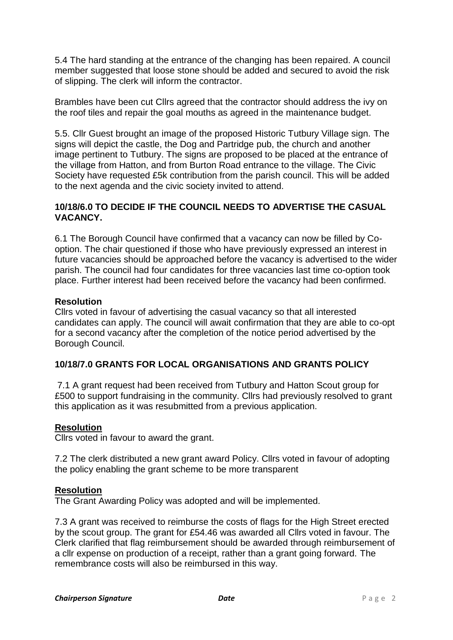5.4 The hard standing at the entrance of the changing has been repaired. A council member suggested that loose stone should be added and secured to avoid the risk of slipping. The clerk will inform the contractor.

Brambles have been cut Cllrs agreed that the contractor should address the ivy on the roof tiles and repair the goal mouths as agreed in the maintenance budget.

5.5. Cllr Guest brought an image of the proposed Historic Tutbury Village sign. The signs will depict the castle, the Dog and Partridge pub, the church and another image pertinent to Tutbury. The signs are proposed to be placed at the entrance of the village from Hatton, and from Burton Road entrance to the village. The Civic Society have requested £5k contribution from the parish council. This will be added to the next agenda and the civic society invited to attend.

### **10/18/6.0 TO DECIDE IF THE COUNCIL NEEDS TO ADVERTISE THE CASUAL VACANCY.**

6.1 The Borough Council have confirmed that a vacancy can now be filled by Cooption. The chair questioned if those who have previously expressed an interest in future vacancies should be approached before the vacancy is advertised to the wider parish. The council had four candidates for three vacancies last time co-option took place. Further interest had been received before the vacancy had been confirmed.

# **Resolution**

Cllrs voted in favour of advertising the casual vacancy so that all interested candidates can apply. The council will await confirmation that they are able to co-opt for a second vacancy after the completion of the notice period advertised by the Borough Council.

# **10/18/7.0 GRANTS FOR LOCAL ORGANISATIONS AND GRANTS POLICY**

7.1 A grant request had been received from Tutbury and Hatton Scout group for £500 to support fundraising in the community. Cllrs had previously resolved to grant this application as it was resubmitted from a previous application.

### **Resolution**

Cllrs voted in favour to award the grant.

7.2 The clerk distributed a new grant award Policy. Cllrs voted in favour of adopting the policy enabling the grant scheme to be more transparent

#### **Resolution**

The Grant Awarding Policy was adopted and will be implemented.

7.3 A grant was received to reimburse the costs of flags for the High Street erected by the scout group. The grant for £54.46 was awarded all Cllrs voted in favour. The Clerk clarified that flag reimbursement should be awarded through reimbursement of a cllr expense on production of a receipt, rather than a grant going forward. The remembrance costs will also be reimbursed in this way.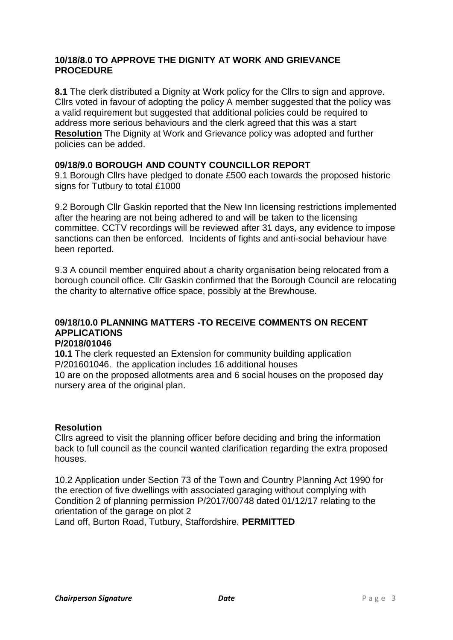### **10/18/8.0 TO APPROVE THE DIGNITY AT WORK AND GRIEVANCE PROCEDURE**

**8.1** The clerk distributed a Dignity at Work policy for the Cllrs to sign and approve. Cllrs voted in favour of adopting the policy A member suggested that the policy was a valid requirement but suggested that additional policies could be required to address more serious behaviours and the clerk agreed that this was a start **Resolution** The Dignity at Work and Grievance policy was adopted and further policies can be added.

# **09/18/9.0 BOROUGH AND COUNTY COUNCILLOR REPORT**

9.1 Borough Cllrs have pledged to donate £500 each towards the proposed historic signs for Tutbury to total £1000

9.2 Borough Cllr Gaskin reported that the New Inn licensing restrictions implemented after the hearing are not being adhered to and will be taken to the licensing committee. CCTV recordings will be reviewed after 31 days, any evidence to impose sanctions can then be enforced. Incidents of fights and anti-social behaviour have been reported.

9.3 A council member enquired about a charity organisation being relocated from a borough council office. Cllr Gaskin confirmed that the Borough Council are relocating the charity to alternative office space, possibly at the Brewhouse.

#### **09/18/10.0 PLANNING MATTERS -TO RECEIVE COMMENTS ON RECENT APPLICATIONS P/2018/01046**

**10.1** The clerk requested an Extension for community building application P/201601046. the application includes 16 additional houses 10 are on the proposed allotments area and 6 social houses on the proposed day nursery area of the original plan.

### **Resolution**

Cllrs agreed to visit the planning officer before deciding and bring the information back to full council as the council wanted clarification regarding the extra proposed houses.

10.2 Application under Section 73 of the Town and Country Planning Act 1990 for the erection of five dwellings with associated garaging without complying with Condition 2 of planning permission P/2017/00748 dated 01/12/17 relating to the orientation of the garage on plot 2

Land off, Burton Road, Tutbury, Staffordshire. **PERMITTED**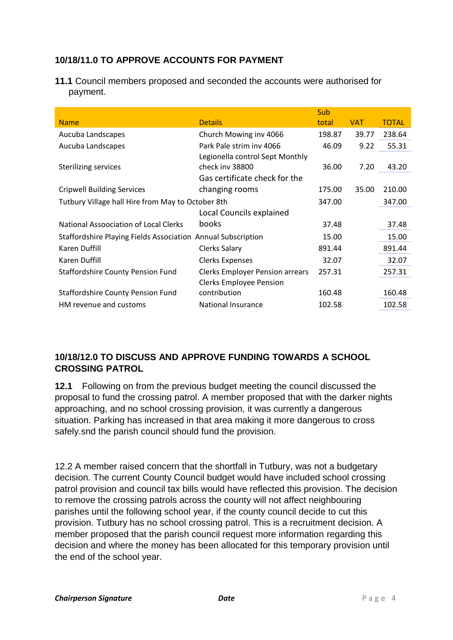# **10/18/11.0 TO APPROVE ACCOUNTS FOR PAYMENT**

**11.1** Council members proposed and seconded the accounts were authorised for payment.

|                                                              |                                        | Sub    |       |              |
|--------------------------------------------------------------|----------------------------------------|--------|-------|--------------|
| <b>Name</b>                                                  | <b>Details</b>                         | total  | VAT.  | <b>TOTAL</b> |
| Aucuba Landscapes                                            | Church Mowing inv 4066                 | 198.87 | 39.77 | 238.64       |
| Aucuba Landscapes                                            | Park Pale strim inv 4066               | 46.09  | 9.22  | 55.31        |
|                                                              | Legionella control Sept Monthly        |        |       |              |
| Sterilizing services                                         | check inv 38800                        | 36.00  | 7.20  | 43.20        |
|                                                              | Gas certificate check for the          |        |       |              |
| <b>Cripwell Building Services</b>                            | changing rooms                         | 175.00 | 35.00 | 210.00       |
| Tutbury Village hall Hire from May to October 8th            |                                        | 347.00 |       | 347.00       |
|                                                              | Local Councils explained               |        |       |              |
| National Assocciation of Local Clerks                        | books                                  | 37.48  |       | 37.48        |
| Staffordshire Playing Fields Association Annual Subscription |                                        | 15.00  |       | 15.00        |
| Karen Duffill                                                | Clerks Salary                          | 891.44 |       | 891.44       |
| Karen Duffill                                                | <b>Clerks Expenses</b>                 | 32.07  |       | 32.07        |
| <b>Staffordshire County Pension Fund</b>                     | <b>Clerks Employer Pension arrears</b> | 257.31 |       | 257.31       |
|                                                              | <b>Clerks Employee Pension</b>         |        |       |              |
| <b>Staffordshire County Pension Fund</b>                     | contribution                           | 160.48 |       | 160.48       |
| HM revenue and customs                                       | <b>National Insurance</b>              | 102.58 |       | 102.58       |

# **10/18/12.0 TO DISCUSS AND APPROVE FUNDING TOWARDS A SCHOOL CROSSING PATROL**

**12.1** Following on from the previous budget meeting the council discussed the proposal to fund the crossing patrol. A member proposed that with the darker nights approaching, and no school crossing provision, it was currently a dangerous situation. Parking has increased in that area making it more dangerous to cross safely.snd the parish council should fund the provision.

12.2 A member raised concern that the shortfall in Tutbury, was not a budgetary decision. The current County Council budget would have included school crossing patrol provision and council tax bills would have reflected this provision. The decision to remove the crossing patrols across the county will not affect neighbouring parishes until the following school year, if the county council decide to cut this provision. Tutbury has no school crossing patrol. This is a recruitment decision. A member proposed that the parish council request more information regarding this decision and where the money has been allocated for this temporary provision until the end of the school year.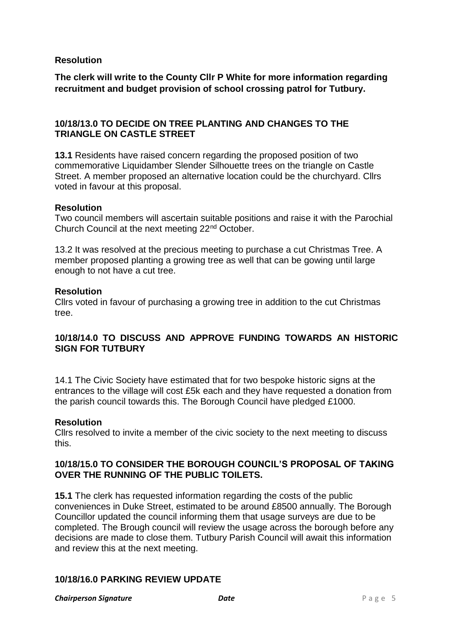### **Resolution**

**The clerk will write to the County Cllr P White for more information regarding recruitment and budget provision of school crossing patrol for Tutbury.**

### **10/18/13.0 TO DECIDE ON TREE PLANTING AND CHANGES TO THE TRIANGLE ON CASTLE STREET**

**13.1** Residents have raised concern regarding the proposed position of two commemorative Liquidamber Slender Silhouette trees on the triangle on Castle Street. A member proposed an alternative location could be the churchyard. Cllrs voted in favour at this proposal.

### **Resolution**

Two council members will ascertain suitable positions and raise it with the Parochial Church Council at the next meeting 22nd October.

13.2 It was resolved at the precious meeting to purchase a cut Christmas Tree. A member proposed planting a growing tree as well that can be gowing until large enough to not have a cut tree.

#### **Resolution**

Cllrs voted in favour of purchasing a growing tree in addition to the cut Christmas tree.

# **10/18/14.0 TO DISCUSS AND APPROVE FUNDING TOWARDS AN HISTORIC SIGN FOR TUTBURY**

14.1 The Civic Society have estimated that for two bespoke historic signs at the entrances to the village will cost £5k each and they have requested a donation from the parish council towards this. The Borough Council have pledged £1000.

### **Resolution**

Cllrs resolved to invite a member of the civic society to the next meeting to discuss this.

# **10/18/15.0 TO CONSIDER THE BOROUGH COUNCIL'S PROPOSAL OF TAKING OVER THE RUNNING OF THE PUBLIC TOILETS.**

**15.1** The clerk has requested information regarding the costs of the public conveniences in Duke Street, estimated to be around £8500 annually. The Borough Councillor updated the council informing them that usage surveys are due to be completed. The Brough council will review the usage across the borough before any decisions are made to close them. Tutbury Parish Council will await this information and review this at the next meeting.

### **10/18/16.0 PARKING REVIEW UPDATE**